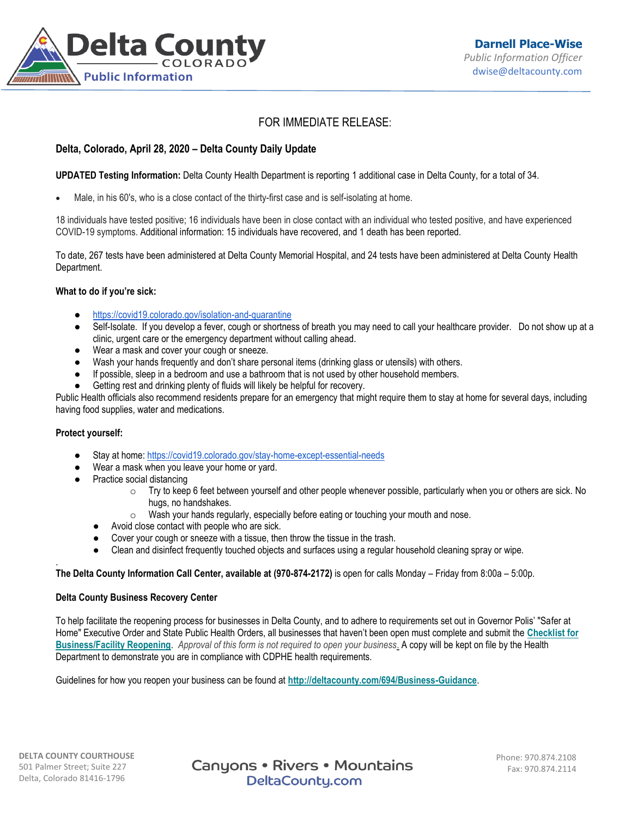

# FOR IMMEDIATE RELEASE:

# **Delta, Colorado, April 28, 2020 – Delta County Daily Update**

**UPDATED Testing Information:** Delta County Health Department is reporting 1 additional case in Delta County, for a total of 34.

Male, in his 60's, who is a close contact of the thirty-first case and is self-isolating at home.

18 individuals have tested positive; 16 individuals have been in close contact with an individual who tested positive, and have experienced COVID-19 symptoms. Additional information: 15 individuals have recovered, and 1 death has been reported.

To date, 267 tests have been administered at Delta County Memorial Hospital, and 24 tests have been administered at Delta County Health Department.

### **What to do if you're sick:**

- <https://covid19.colorado.gov/isolation-and-quarantine>
- Self-Isolate. If you develop a fever, cough or shortness of breath you may need to call your healthcare provider. Do not show up at a clinic, urgent care or the emergency department without calling ahead.
- Wear a mask and cover your cough or sneeze.
- Wash your hands frequently and don't share personal items (drinking glass or utensils) with others.
- If possible, sleep in a bedroom and use a bathroom that is not used by other household members.
- Getting rest and drinking plenty of fluids will likely be helpful for recovery.

Public Health officials also recommend residents prepare for an emergency that might require them to stay at home for several days, including having food supplies, water and medications.

### **Protect yourself:**

.

- Stay at home: <https://covid19.colorado.gov/stay-home-except-essential-needs>
- Wear a mask when you leave your home or yard.
- **Practice social distancing** 
	- $\circ$  Try to keep 6 feet between yourself and other people whenever possible, particularly when you or others are sick. No hugs, no handshakes.
	- $\circ$  Wash your hands regularly, especially before eating or touching your mouth and nose.
	- Avoid close contact with people who are sick.
	- Cover your cough or sneeze with a tissue, then throw the tissue in the trash.
	- Clean and disinfect frequently touched objects and surfaces using a regular household cleaning spray or wipe.

### **The Delta County Information Call Center, available at (970-874-2172)** is open for calls Monday – Friday from 8:00a – 5:00p.

### **Delta County Business Recovery Center**

To help facilitate the reopening process for businesses in Delta County, and to adhere to requirements set out in Governor Polis' "Safer at Home" Executive Order and State Public Health Orders, all businesses that haven't been open must complete and submit the **[Checklist for](https://visitdeltacounty.us4.list-manage.com/track/click?u=005cc3109dd92ab1f9c369fea&id=3c4b7be17d&e=b79ba09168)  [Business/Facility Reopening](https://visitdeltacounty.us4.list-manage.com/track/click?u=005cc3109dd92ab1f9c369fea&id=3c4b7be17d&e=b79ba09168)**. *Approval of this form is not required to open your business*. A copy will be kept on file by the Health Department to demonstrate you are in compliance with CDPHE health requirements.

Guidelines for how you reopen your business can be found at **[http://deltacounty.com/694/Business-Guidance](https://visitdeltacounty.us4.list-manage.com/track/click?u=005cc3109dd92ab1f9c369fea&id=83dccfaf5e&e=b79ba09168)**.